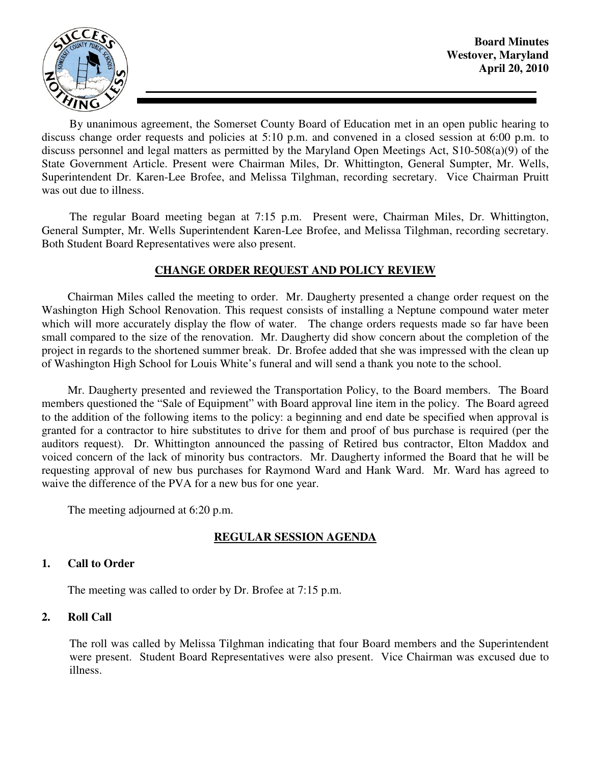

**Board Minutes Westover, Maryland April 20, 2010** 

By unanimous agreement, the Somerset County Board of Education met in an open public hearing to discuss change order requests and policies at 5:10 p.m. and convened in a closed session at 6:00 p.m. to discuss personnel and legal matters as permitted by the Maryland Open Meetings Act, S10-508(a)(9) of the State Government Article. Present were Chairman Miles, Dr. Whittington, General Sumpter, Mr. Wells, Superintendent Dr. Karen-Lee Brofee, and Melissa Tilghman, recording secretary. Vice Chairman Pruitt was out due to illness.

The regular Board meeting began at 7:15 p.m. Present were, Chairman Miles, Dr. Whittington, General Sumpter, Mr. Wells Superintendent Karen-Lee Brofee, and Melissa Tilghman, recording secretary. Both Student Board Representatives were also present.

## **CHANGE ORDER REQUEST AND POLICY REVIEW**

 Chairman Miles called the meeting to order. Mr. Daugherty presented a change order request on the Washington High School Renovation. This request consists of installing a Neptune compound water meter which will more accurately display the flow of water. The change orders requests made so far have been small compared to the size of the renovation. Mr. Daugherty did show concern about the completion of the project in regards to the shortened summer break. Dr. Brofee added that she was impressed with the clean up of Washington High School for Louis White's funeral and will send a thank you note to the school.

 Mr. Daugherty presented and reviewed the Transportation Policy, to the Board members. The Board members questioned the "Sale of Equipment" with Board approval line item in the policy. The Board agreed to the addition of the following items to the policy: a beginning and end date be specified when approval is granted for a contractor to hire substitutes to drive for them and proof of bus purchase is required (per the auditors request). Dr. Whittington announced the passing of Retired bus contractor, Elton Maddox and voiced concern of the lack of minority bus contractors. Mr. Daugherty informed the Board that he will be requesting approval of new bus purchases for Raymond Ward and Hank Ward. Mr. Ward has agreed to waive the difference of the PVA for a new bus for one year.

The meeting adjourned at 6:20 p.m.

## **REGULAR SESSION AGENDA**

#### **1. Call to Order**

The meeting was called to order by Dr. Brofee at 7:15 p.m.

#### **2. Roll Call**

The roll was called by Melissa Tilghman indicating that four Board members and the Superintendent were present. Student Board Representatives were also present. Vice Chairman was excused due to illness.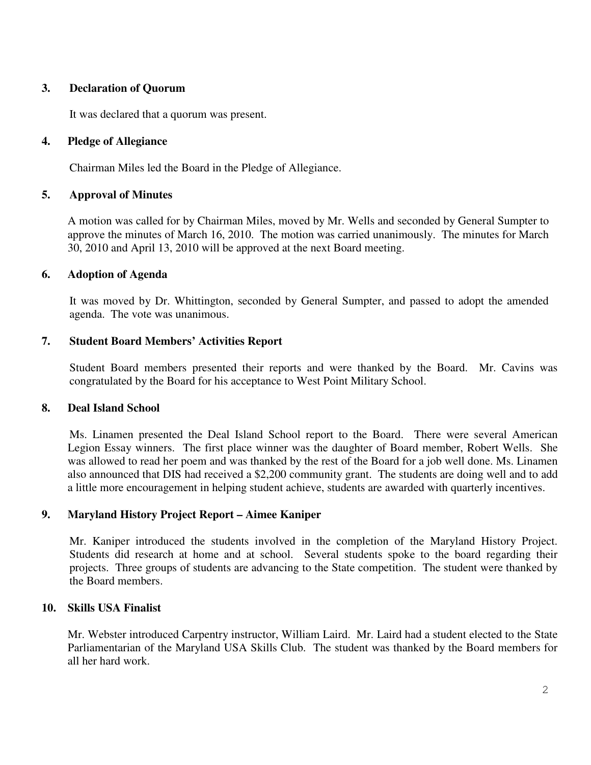## **3. Declaration of Quorum**

It was declared that a quorum was present.

## **4. Pledge of Allegiance**

Chairman Miles led the Board in the Pledge of Allegiance.

## **5. Approval of Minutes**

A motion was called for by Chairman Miles, moved by Mr. Wells and seconded by General Sumpter to approve the minutes of March 16, 2010. The motion was carried unanimously. The minutes for March 30, 2010 and April 13, 2010 will be approved at the next Board meeting.

## **6. Adoption of Agenda**

 It was moved by Dr. Whittington, seconded by General Sumpter, and passed to adopt the amended agenda. The vote was unanimous.

## **7. Student Board Members' Activities Report**

Student Board members presented their reports and were thanked by the Board. Mr. Cavins was congratulated by the Board for his acceptance to West Point Military School.

#### **8. Deal Island School**

 Ms. Linamen presented the Deal Island School report to the Board. There were several American Legion Essay winners. The first place winner was the daughter of Board member, Robert Wells. She was allowed to read her poem and was thanked by the rest of the Board for a job well done. Ms. Linamen also announced that DIS had received a \$2,200 community grant. The students are doing well and to add a little more encouragement in helping student achieve, students are awarded with quarterly incentives.

## **9. Maryland History Project Report – Aimee Kaniper**

Mr. Kaniper introduced the students involved in the completion of the Maryland History Project. Students did research at home and at school. Several students spoke to the board regarding their projects. Three groups of students are advancing to the State competition. The student were thanked by the Board members.

#### **10. Skills USA Finalist**

Mr. Webster introduced Carpentry instructor, William Laird. Mr. Laird had a student elected to the State Parliamentarian of the Maryland USA Skills Club. The student was thanked by the Board members for all her hard work.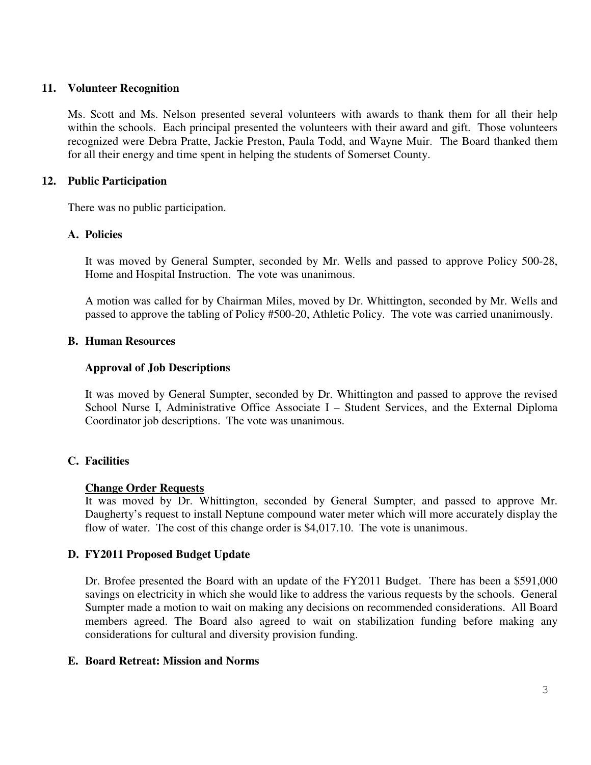## **11. Volunteer Recognition**

Ms. Scott and Ms. Nelson presented several volunteers with awards to thank them for all their help within the schools. Each principal presented the volunteers with their award and gift. Those volunteers recognized were Debra Pratte, Jackie Preston, Paula Todd, and Wayne Muir. The Board thanked them for all their energy and time spent in helping the students of Somerset County.

### **12. Public Participation**

There was no public participation.

## **A. Policies**

It was moved by General Sumpter, seconded by Mr. Wells and passed to approve Policy 500-28, Home and Hospital Instruction. The vote was unanimous.

A motion was called for by Chairman Miles, moved by Dr. Whittington, seconded by Mr. Wells and passed to approve the tabling of Policy #500-20, Athletic Policy. The vote was carried unanimously.

## **B. Human Resources**

## **Approval of Job Descriptions**

It was moved by General Sumpter, seconded by Dr. Whittington and passed to approve the revised School Nurse I, Administrative Office Associate I – Student Services, and the External Diploma Coordinator job descriptions. The vote was unanimous.

## **C. Facilities**

#### **Change Order Requests**

It was moved by Dr. Whittington, seconded by General Sumpter, and passed to approve Mr. Daugherty's request to install Neptune compound water meter which will more accurately display the flow of water. The cost of this change order is \$4,017.10. The vote is unanimous.

## **D. FY2011 Proposed Budget Update**

Dr. Brofee presented the Board with an update of the FY2011 Budget. There has been a \$591,000 savings on electricity in which she would like to address the various requests by the schools. General Sumpter made a motion to wait on making any decisions on recommended considerations. All Board members agreed. The Board also agreed to wait on stabilization funding before making any considerations for cultural and diversity provision funding.

#### **E. Board Retreat: Mission and Norms**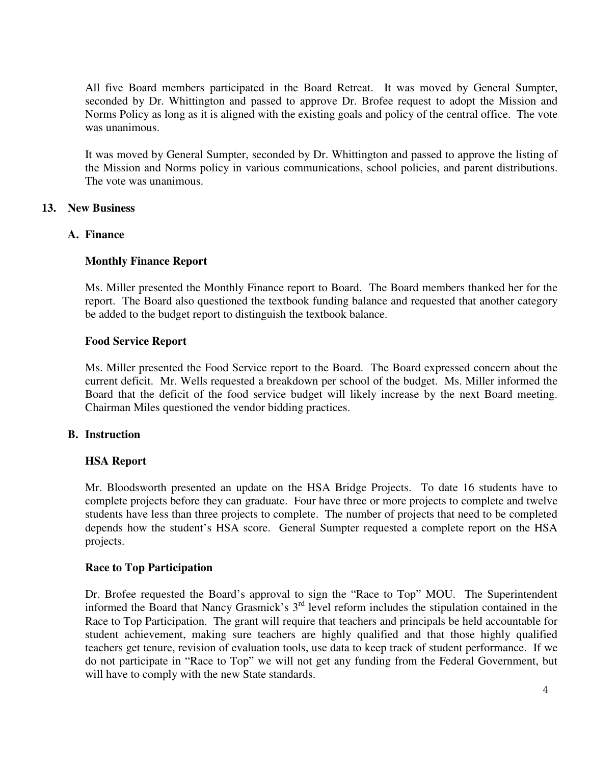All five Board members participated in the Board Retreat. It was moved by General Sumpter, seconded by Dr. Whittington and passed to approve Dr. Brofee request to adopt the Mission and Norms Policy as long as it is aligned with the existing goals and policy of the central office. The vote was unanimous.

It was moved by General Sumpter, seconded by Dr. Whittington and passed to approve the listing of the Mission and Norms policy in various communications, school policies, and parent distributions. The vote was unanimous.

#### **13. New Business**

#### **A. Finance**

## **Monthly Finance Report**

Ms. Miller presented the Monthly Finance report to Board. The Board members thanked her for the report. The Board also questioned the textbook funding balance and requested that another category be added to the budget report to distinguish the textbook balance.

## **Food Service Report**

Ms. Miller presented the Food Service report to the Board. The Board expressed concern about the current deficit. Mr. Wells requested a breakdown per school of the budget. Ms. Miller informed the Board that the deficit of the food service budget will likely increase by the next Board meeting. Chairman Miles questioned the vendor bidding practices.

#### **B. Instruction**

## **HSA Report**

Mr. Bloodsworth presented an update on the HSA Bridge Projects. To date 16 students have to complete projects before they can graduate. Four have three or more projects to complete and twelve students have less than three projects to complete. The number of projects that need to be completed depends how the student's HSA score. General Sumpter requested a complete report on the HSA projects.

## **Race to Top Participation**

Dr. Brofee requested the Board's approval to sign the "Race to Top" MOU. The Superintendent informed the Board that Nancy Grasmick's 3rd level reform includes the stipulation contained in the Race to Top Participation. The grant will require that teachers and principals be held accountable for student achievement, making sure teachers are highly qualified and that those highly qualified teachers get tenure, revision of evaluation tools, use data to keep track of student performance. If we do not participate in "Race to Top" we will not get any funding from the Federal Government, but will have to comply with the new State standards.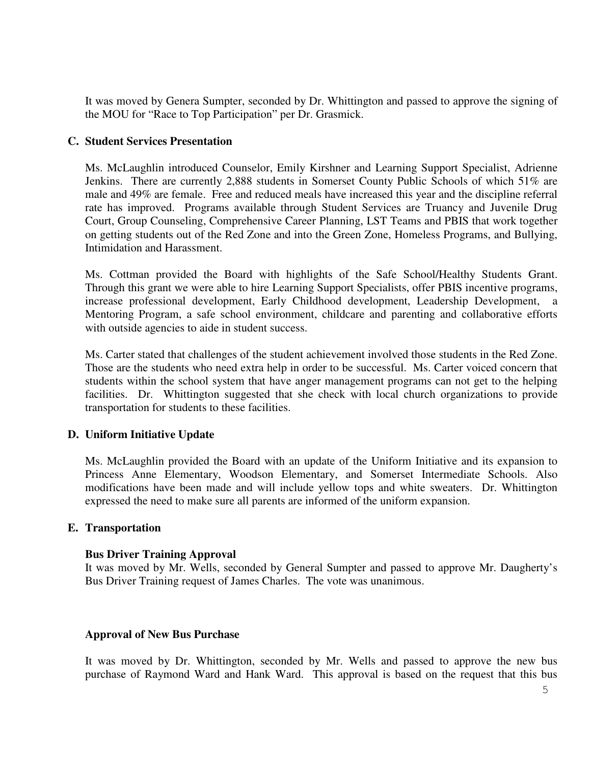It was moved by Genera Sumpter, seconded by Dr. Whittington and passed to approve the signing of the MOU for "Race to Top Participation" per Dr. Grasmick.

### **C. Student Services Presentation**

Ms. McLaughlin introduced Counselor, Emily Kirshner and Learning Support Specialist, Adrienne Jenkins. There are currently 2,888 students in Somerset County Public Schools of which 51% are male and 49% are female. Free and reduced meals have increased this year and the discipline referral rate has improved. Programs available through Student Services are Truancy and Juvenile Drug Court, Group Counseling, Comprehensive Career Planning, LST Teams and PBIS that work together on getting students out of the Red Zone and into the Green Zone, Homeless Programs, and Bullying, Intimidation and Harassment.

Ms. Cottman provided the Board with highlights of the Safe School/Healthy Students Grant. Through this grant we were able to hire Learning Support Specialists, offer PBIS incentive programs, increase professional development, Early Childhood development, Leadership Development, a Mentoring Program, a safe school environment, childcare and parenting and collaborative efforts with outside agencies to aide in student success.

Ms. Carter stated that challenges of the student achievement involved those students in the Red Zone. Those are the students who need extra help in order to be successful. Ms. Carter voiced concern that students within the school system that have anger management programs can not get to the helping facilities. Dr. Whittington suggested that she check with local church organizations to provide transportation for students to these facilities.

## **D. Uniform Initiative Update**

Ms. McLaughlin provided the Board with an update of the Uniform Initiative and its expansion to Princess Anne Elementary, Woodson Elementary, and Somerset Intermediate Schools. Also modifications have been made and will include yellow tops and white sweaters. Dr. Whittington expressed the need to make sure all parents are informed of the uniform expansion.

#### **E. Transportation**

#### **Bus Driver Training Approval**

It was moved by Mr. Wells, seconded by General Sumpter and passed to approve Mr. Daugherty's Bus Driver Training request of James Charles. The vote was unanimous.

#### **Approval of New Bus Purchase**

It was moved by Dr. Whittington, seconded by Mr. Wells and passed to approve the new bus purchase of Raymond Ward and Hank Ward. This approval is based on the request that this bus